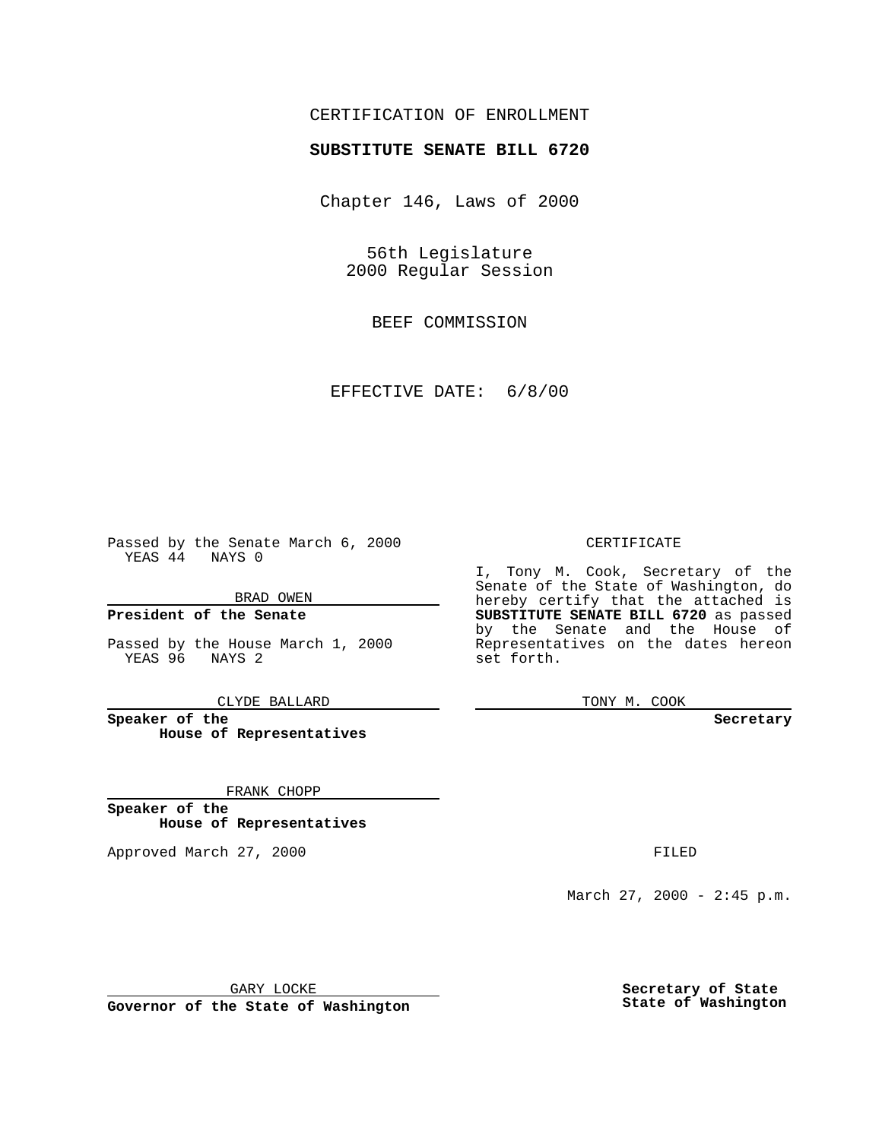## CERTIFICATION OF ENROLLMENT

# **SUBSTITUTE SENATE BILL 6720**

Chapter 146, Laws of 2000

56th Legislature 2000 Regular Session

BEEF COMMISSION

EFFECTIVE DATE: 6/8/00

Passed by the Senate March 6, 2000 YEAS 44 NAYS 0

BRAD OWEN

**President of the Senate**

Passed by the House March 1, 2000 YEAS 96 NAYS 2

CLYDE BALLARD

**Speaker of the House of Representatives**

FRANK CHOPP

**Speaker of the House of Representatives**

Approved March 27, 2000 FILED

#### CERTIFICATE

I, Tony M. Cook, Secretary of the Senate of the State of Washington, do hereby certify that the attached is **SUBSTITUTE SENATE BILL 6720** as passed by the Senate and the House of Representatives on the dates hereon set forth.

TONY M. COOK

**Secretary**

March 27, 2000 - 2:45 p.m.

GARY LOCKE

**Governor of the State of Washington**

**Secretary of State State of Washington**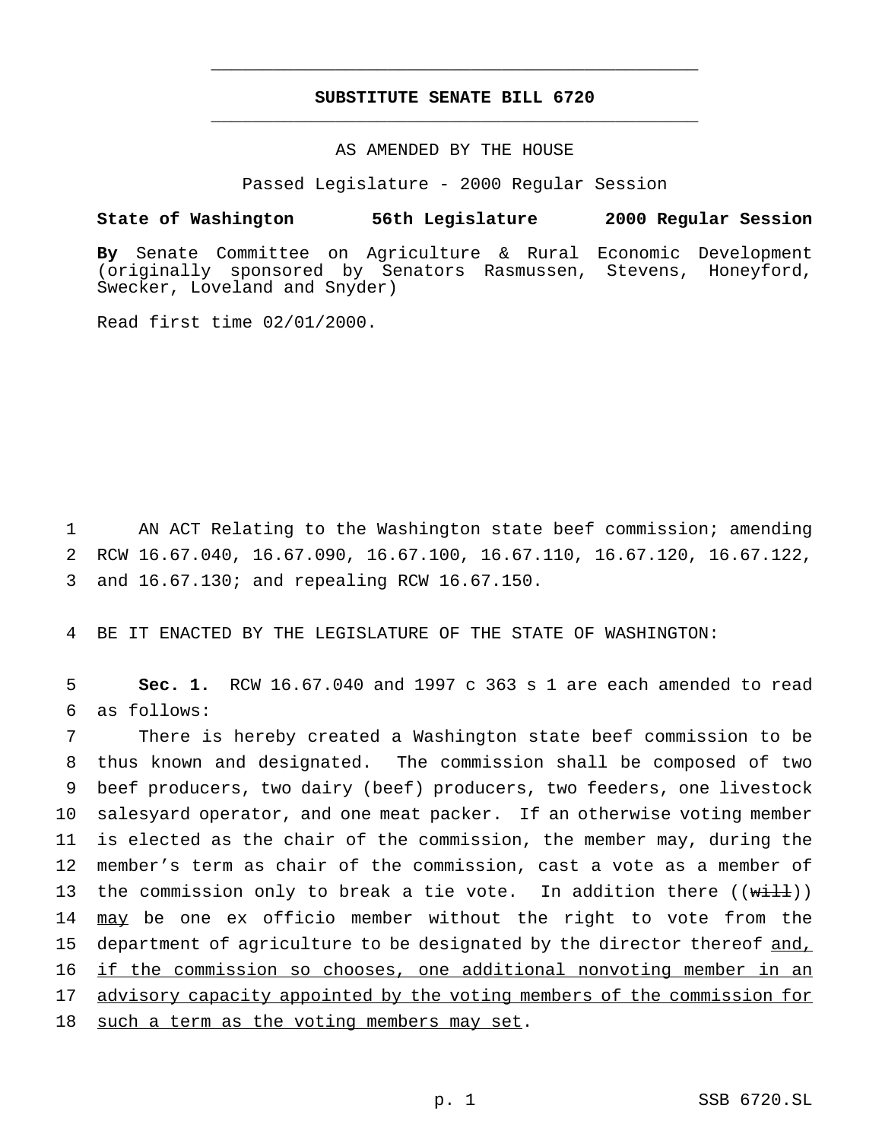## **SUBSTITUTE SENATE BILL 6720** \_\_\_\_\_\_\_\_\_\_\_\_\_\_\_\_\_\_\_\_\_\_\_\_\_\_\_\_\_\_\_\_\_\_\_\_\_\_\_\_\_\_\_\_\_\_\_

\_\_\_\_\_\_\_\_\_\_\_\_\_\_\_\_\_\_\_\_\_\_\_\_\_\_\_\_\_\_\_\_\_\_\_\_\_\_\_\_\_\_\_\_\_\_\_

### AS AMENDED BY THE HOUSE

Passed Legislature - 2000 Regular Session

#### **State of Washington 56th Legislature 2000 Regular Session**

**By** Senate Committee on Agriculture & Rural Economic Development (originally sponsored by Senators Rasmussen, Stevens, Honeyford, Swecker, Loveland and Snyder)

Read first time 02/01/2000.

1 AN ACT Relating to the Washington state beef commission; amending 2 RCW 16.67.040, 16.67.090, 16.67.100, 16.67.110, 16.67.120, 16.67.122, 3 and 16.67.130; and repealing RCW 16.67.150.

4 BE IT ENACTED BY THE LEGISLATURE OF THE STATE OF WASHINGTON:

5 **Sec. 1.** RCW 16.67.040 and 1997 c 363 s 1 are each amended to read 6 as follows:

7 There is hereby created a Washington state beef commission to be 8 thus known and designated. The commission shall be composed of two 9 beef producers, two dairy (beef) producers, two feeders, one livestock 10 salesyard operator, and one meat packer. If an otherwise voting member 11 is elected as the chair of the commission, the member may, during the 12 member's term as chair of the commission, cast a vote as a member of 13 the commission only to break a tie vote. In addition there ((will)) 14 may be one ex officio member without the right to vote from the 15 department of agriculture to be designated by the director thereof and, 16 if the commission so chooses, one additional nonvoting member in an 17 advisory capacity appointed by the voting members of the commission for 18 such a term as the voting members may set.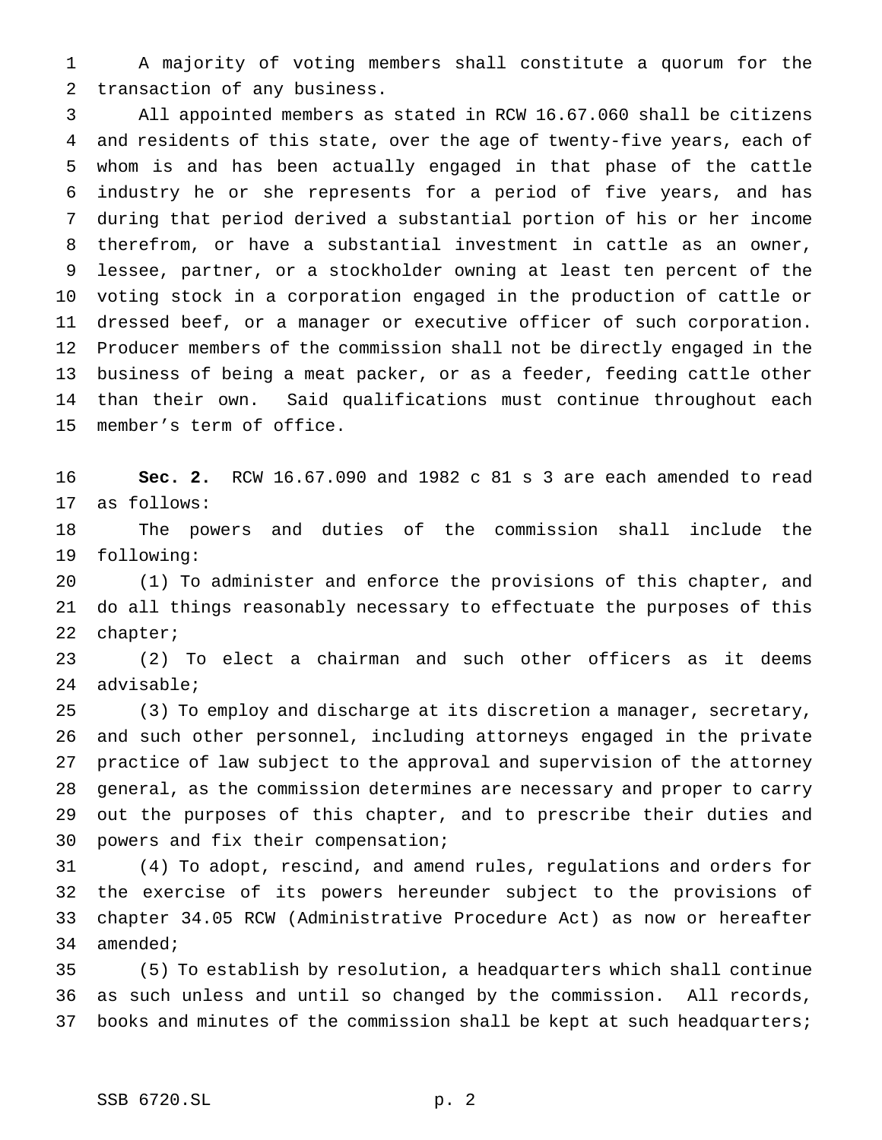A majority of voting members shall constitute a quorum for the transaction of any business.

 All appointed members as stated in RCW 16.67.060 shall be citizens and residents of this state, over the age of twenty-five years, each of whom is and has been actually engaged in that phase of the cattle industry he or she represents for a period of five years, and has during that period derived a substantial portion of his or her income therefrom, or have a substantial investment in cattle as an owner, lessee, partner, or a stockholder owning at least ten percent of the voting stock in a corporation engaged in the production of cattle or dressed beef, or a manager or executive officer of such corporation. Producer members of the commission shall not be directly engaged in the business of being a meat packer, or as a feeder, feeding cattle other than their own. Said qualifications must continue throughout each member's term of office.

 **Sec. 2.** RCW 16.67.090 and 1982 c 81 s 3 are each amended to read as follows:

 The powers and duties of the commission shall include the following:

 (1) To administer and enforce the provisions of this chapter, and do all things reasonably necessary to effectuate the purposes of this chapter;

 (2) To elect a chairman and such other officers as it deems advisable;

 (3) To employ and discharge at its discretion a manager, secretary, and such other personnel, including attorneys engaged in the private practice of law subject to the approval and supervision of the attorney general, as the commission determines are necessary and proper to carry out the purposes of this chapter, and to prescribe their duties and powers and fix their compensation;

 (4) To adopt, rescind, and amend rules, regulations and orders for the exercise of its powers hereunder subject to the provisions of chapter 34.05 RCW (Administrative Procedure Act) as now or hereafter amended;

 (5) To establish by resolution, a headquarters which shall continue as such unless and until so changed by the commission. All records, 37 books and minutes of the commission shall be kept at such headquarters;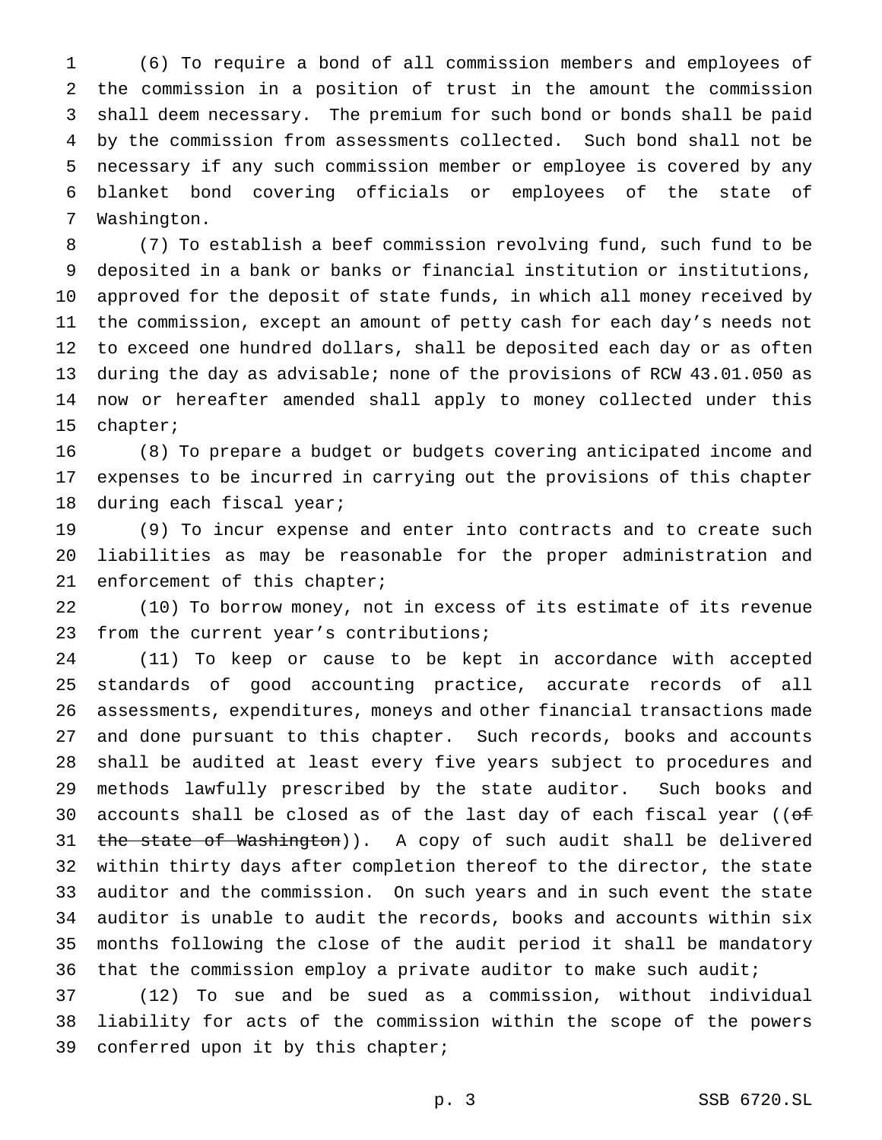(6) To require a bond of all commission members and employees of the commission in a position of trust in the amount the commission shall deem necessary. The premium for such bond or bonds shall be paid by the commission from assessments collected. Such bond shall not be necessary if any such commission member or employee is covered by any blanket bond covering officials or employees of the state of Washington.

 (7) To establish a beef commission revolving fund, such fund to be deposited in a bank or banks or financial institution or institutions, approved for the deposit of state funds, in which all money received by the commission, except an amount of petty cash for each day's needs not to exceed one hundred dollars, shall be deposited each day or as often during the day as advisable; none of the provisions of RCW 43.01.050 as now or hereafter amended shall apply to money collected under this chapter;

 (8) To prepare a budget or budgets covering anticipated income and expenses to be incurred in carrying out the provisions of this chapter during each fiscal year;

 (9) To incur expense and enter into contracts and to create such liabilities as may be reasonable for the proper administration and enforcement of this chapter;

 (10) To borrow money, not in excess of its estimate of its revenue from the current year's contributions;

 (11) To keep or cause to be kept in accordance with accepted standards of good accounting practice, accurate records of all assessments, expenditures, moneys and other financial transactions made and done pursuant to this chapter. Such records, books and accounts shall be audited at least every five years subject to procedures and methods lawfully prescribed by the state auditor. Such books and 30 accounts shall be closed as of the last day of each fiscal year (( $of$ 31 the state of Washington)). A copy of such audit shall be delivered within thirty days after completion thereof to the director, the state auditor and the commission. On such years and in such event the state auditor is unable to audit the records, books and accounts within six months following the close of the audit period it shall be mandatory 36 that the commission employ a private auditor to make such audit;

 (12) To sue and be sued as a commission, without individual liability for acts of the commission within the scope of the powers conferred upon it by this chapter;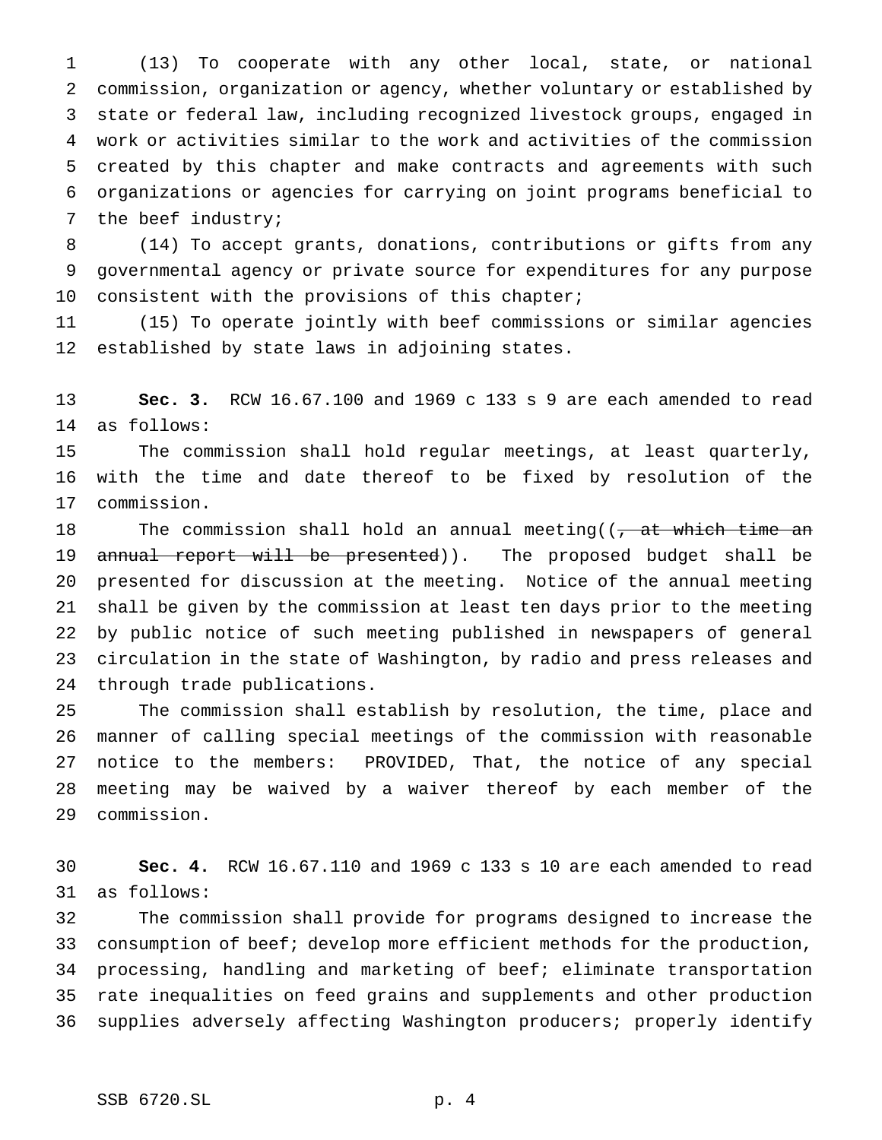(13) To cooperate with any other local, state, or national commission, organization or agency, whether voluntary or established by state or federal law, including recognized livestock groups, engaged in work or activities similar to the work and activities of the commission created by this chapter and make contracts and agreements with such organizations or agencies for carrying on joint programs beneficial to the beef industry;

 (14) To accept grants, donations, contributions or gifts from any governmental agency or private source for expenditures for any purpose 10 consistent with the provisions of this chapter;

 (15) To operate jointly with beef commissions or similar agencies established by state laws in adjoining states.

 **Sec. 3.** RCW 16.67.100 and 1969 c 133 s 9 are each amended to read as follows:

 The commission shall hold regular meetings, at least quarterly, with the time and date thereof to be fixed by resolution of the commission.

18 The commission shall hold an annual meeting( $\sqrt{a}$  at which time an 19 annual report will be presented)). The proposed budget shall be presented for discussion at the meeting. Notice of the annual meeting shall be given by the commission at least ten days prior to the meeting by public notice of such meeting published in newspapers of general circulation in the state of Washington, by radio and press releases and through trade publications.

 The commission shall establish by resolution, the time, place and manner of calling special meetings of the commission with reasonable notice to the members: PROVIDED, That, the notice of any special meeting may be waived by a waiver thereof by each member of the commission.

 **Sec. 4.** RCW 16.67.110 and 1969 c 133 s 10 are each amended to read as follows:

 The commission shall provide for programs designed to increase the consumption of beef; develop more efficient methods for the production, processing, handling and marketing of beef; eliminate transportation rate inequalities on feed grains and supplements and other production supplies adversely affecting Washington producers; properly identify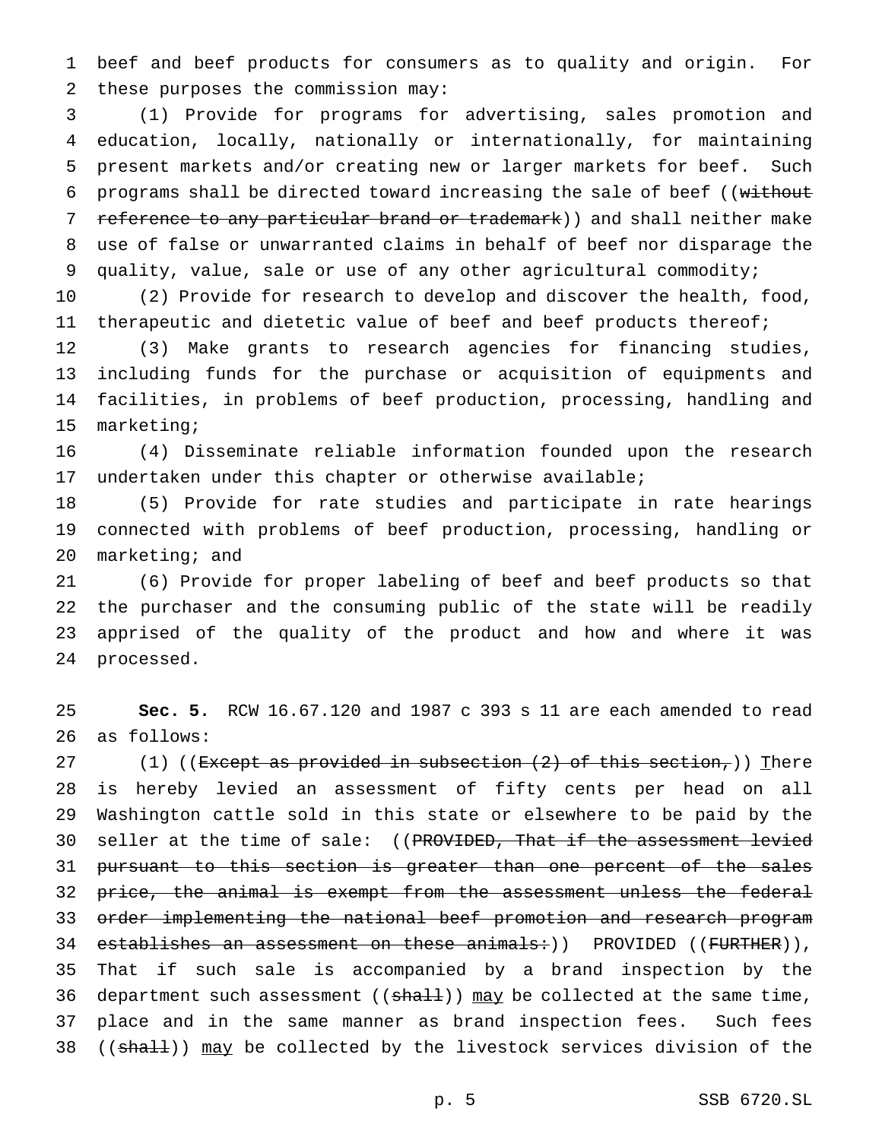beef and beef products for consumers as to quality and origin. For these purposes the commission may:

 (1) Provide for programs for advertising, sales promotion and education, locally, nationally or internationally, for maintaining present markets and/or creating new or larger markets for beef. Such 6 programs shall be directed toward increasing the sale of beef ((without 7 reference to any particular brand or trademark)) and shall neither make use of false or unwarranted claims in behalf of beef nor disparage the quality, value, sale or use of any other agricultural commodity;

 (2) Provide for research to develop and discover the health, food, 11 therapeutic and dietetic value of beef and beef products thereof;

 (3) Make grants to research agencies for financing studies, including funds for the purchase or acquisition of equipments and facilities, in problems of beef production, processing, handling and marketing;

 (4) Disseminate reliable information founded upon the research undertaken under this chapter or otherwise available;

 (5) Provide for rate studies and participate in rate hearings connected with problems of beef production, processing, handling or marketing; and

 (6) Provide for proper labeling of beef and beef products so that the purchaser and the consuming public of the state will be readily apprised of the quality of the product and how and where it was processed.

 **Sec. 5.** RCW 16.67.120 and 1987 c 393 s 11 are each amended to read as follows:

27 (1) ((<del>Except as provided in subsection (2) of this section,</del>)) There is hereby levied an assessment of fifty cents per head on all Washington cattle sold in this state or elsewhere to be paid by the 30 seller at the time of sale: ((PROVIDED, That if the assessment levied 31 pursuant to this section is greater than one percent of the sales 32 price, the animal is exempt from the assessment unless the federal 33 order implementing the national beef promotion and research program 34 establishes an assessment on these animals: ) ) PROVIDED ((FURTHER)), That if such sale is accompanied by a brand inspection by the 36 department such assessment  $((shall))$  may be collected at the same time, place and in the same manner as brand inspection fees. Such fees 38 ((shall)) may be collected by the livestock services division of the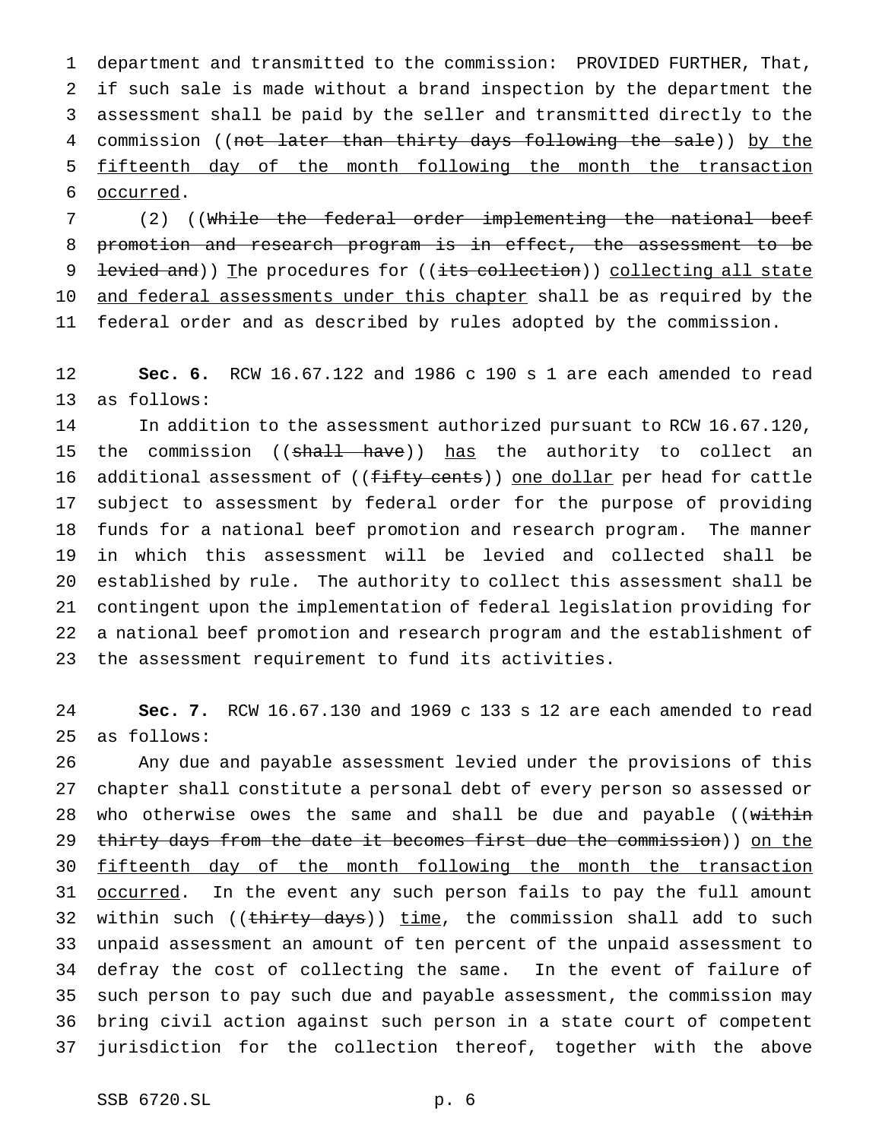department and transmitted to the commission: PROVIDED FURTHER, That, if such sale is made without a brand inspection by the department the assessment shall be paid by the seller and transmitted directly to the 4 commission ((not later than thirty days following the sale)) by the fifteenth day of the month following the month the transaction occurred.

 (2) ((While the federal order implementing the national beef promotion and research program is in effect, the assessment to be 9 levied and)) The procedures for ((its collection)) collecting all state 10 and federal assessments under this chapter shall be as required by the federal order and as described by rules adopted by the commission.

 **Sec. 6.** RCW 16.67.122 and 1986 c 190 s 1 are each amended to read as follows:

 In addition to the assessment authorized pursuant to RCW 16.67.120, 15 the commission ((shall have)) has the authority to collect an 16 additional assessment of ((fifty cents)) one dollar per head for cattle subject to assessment by federal order for the purpose of providing funds for a national beef promotion and research program. The manner in which this assessment will be levied and collected shall be established by rule. The authority to collect this assessment shall be contingent upon the implementation of federal legislation providing for a national beef promotion and research program and the establishment of the assessment requirement to fund its activities.

 **Sec. 7.** RCW 16.67.130 and 1969 c 133 s 12 are each amended to read as follows:

 Any due and payable assessment levied under the provisions of this chapter shall constitute a personal debt of every person so assessed or 28 who otherwise owes the same and shall be due and payable ((within 29 thirty days from the date it becomes first due the commission)) on the fifteenth day of the month following the month the transaction 31 <u>occurred</u>. In the event any such person fails to pay the full amount 32 within such ((thirty days)) time, the commission shall add to such unpaid assessment an amount of ten percent of the unpaid assessment to defray the cost of collecting the same. In the event of failure of such person to pay such due and payable assessment, the commission may bring civil action against such person in a state court of competent jurisdiction for the collection thereof, together with the above